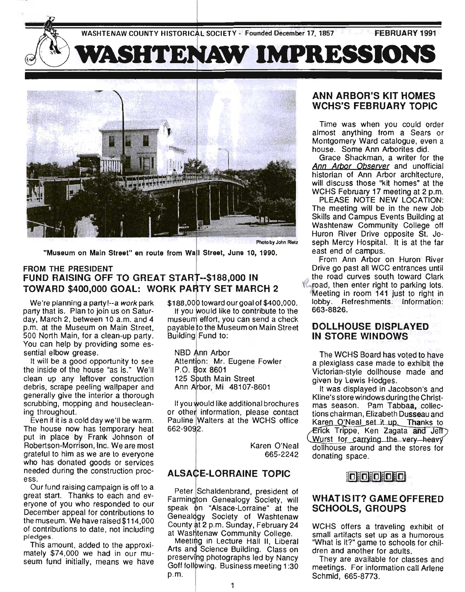WASHTENAW COUNTY HISTORICAL SOCIETY - Founded December 17, 1857 FEBRUARY 1991

# **VASHTENAW IMPRESSIONS**



Photo by John Rietz

"Museum on Main Street" en route from Wall Street, June 10, 1990.

### FROM THE PRESIDENT  $\tt FUND~RAISING~OFF~TO~GREAT~START--$188,000 IN$ TOWARD \$400,000 GOAL: WORK PARTY SET MARCH 2

We're planning a party!--a work park party that is. Plan to join us on Saturday, March 2, between 10 a.m. and 4 p.m. at the Museum on Main Street, 500 North Main, for a clean-up party. You can help by providing some essential elbow grease.

It will be a good opportunity to see the inside of the house "as is." We'll clean up any leftover construction debris, scrape peeling wallpaper and generally give the interior a thorough scrubbing, mopping and housecleaning throughout.

Even if it is a cold day we'll be warm. The house now has temporary heat put in place by Frank Johnson of Robertson-Morrison, Inc. We are most grateful to him as we are to everyone who has donated goods or services needed during the construction process.

Our fund raising campaign is off to a great start. Thanks to each and everyone of you who responded to our December appeal for contributions to the museum. We have raised\$114,OOO of contributions to date, not including pledges.

This amount, added to the approximately \$74,000 we had in our museum fund initially, means we have \$188,000 toward our goal of \$400,000.

If you would like to contribute to the museum effort, you can send a check payable to the Museum on Main Street Building Fund to:

NBD Ann Arbor Attention: Mr. Eugene Fowler P.O. Box 8601 125 South Main Street Ann Arbor, Mi 48107-8601

If you would like additional brochures or other information, please contact Pauline Walters at the WCHS office 662-9092.

> Karen O'Neal 665-2242

## **ALSACE-LORRAINE TOPIC**

Peter Schaldenbrand, president of Farmington Genealogy Society, will speak on "Alsace-Lorraine" at the Genealogy Society of Washtenaw County at 2 p.m. Sunday, February 24 at Washtenaw Community College.

p.m. Meeting in Lecture Hall II, Liberal Arts and Science Building. Class on preserving photographs led by Nancy Goff following. Business meeting 1:30

## ANN ARBOR'S KIT HOMES WCHS'S FEBRUARY TOPIC

Time was when you could order almost anything from a Sears or Montgomery Ward catalogue, even a house. Some Ann Arborites did.

Grace Shackman, a writer for the Ann Arbor Observer and unofficial historian of Ann Arbor architecture, will discuss those "kit homes" at the WCHS February 17 meeting at 2 p.m.

PLEASE NOTE NEW LOCATION: The meeting will be in the new Job Skills and Campus Events Building at Washtenaw Community College off Huron River Drive opposite St. Joseph Mercy Hospital. It is at the far east end of campus.

From Ann Arbor on Huron River Drive go past all WCC entrances until the road curves south toward Clark road, then enter right to parking lots. Meeting in room 141 just to right in lobby. Refreshments. Information: 663-8826.

## DOLLHOUSE DISPLAYED IN STORE WINDOWS

The WCHS Board has voted to have a plexiglass case made to exhibit the Victorian-style dollhouse made and given by Lewis Hodges.

It was displayed in Jacobson's and Kline's store windows during the Christmas season. Pam Tabbaa, collections chairman, Elizabeth Dusseau and Karen O'Neal set it up. Thanks to Erick Trippe, Ken Zagata and Jeff Wurst for carrying the very heavy dollhouse around and the stores for donating space.



## WHAT IS IT? GAME OFFERED SCHOOLS, GROUPS

WCHS offers a traveling exhibit of small artifacts set up as a humorous "What is it?" game to schools for children and another for adults.

They are available for classes and meetings. For information call Arlene Schmid, 665-8773.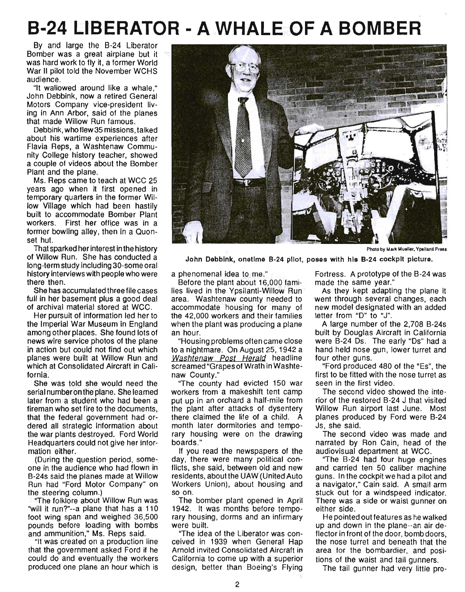## **B-24 LIBERATOR - A WHALE OF A BOMBER**

By and large the B-24 Liberator Bomber was a great airplane but it was hard work to fly it, a former World War II pilot told the November WCHS audience.

"It wallowed around like a whale," John Oebbink, now a retired General Motors Company vice-president living in Ann Arbor, said of the planes that made Willow Run famous.

Oebbink, who flew 35 missions, talked about his wartime experiences after Flavia Reps, a Washtenaw Community College history teacher, showed a couple of videos about the Bomber Plant and the plane.

Ms. Reps came to teach at WCC 25 years ago when it first opened in temporary quarters in the former Willow Village which had been hastily built to accommodate Bomber Plant workers. First her office was in a former bowling alley, then in a Quonset hut.

That sparked her interest in the history of Willow Run. She has conducted a long-term study including 30-some oral history interviews with people who were there then.

She has accumulated three file cases full in her basement plus a good deal of archival material stored at WCC.

Her pursuit of information led her to the Imperial War Museum in England among other places. She found lots of news wire service photos of the plane in action but could not find out which planes were built at Willow Run and which at Consolidated Aircraft in California.

She was told she would need the serial numberon the plane. She learned later from a student who had been a fireman who set fire to the documents, that the federal government had ordered all strategic information about the war plants destroyed. Ford World Headquarters could not give her information either.

(During the question period, someone in the audience who had flown in B-24s said the planes made at Willow Run had "Ford Motor Company" on the steering column.)

"The folklore about Willow Run was "will it run?"--a plane that has a 110 foot wing span and weighed 36,500 pounds before loading with bombs and ammunition," Ms. Reps said.

"It was created on a production line that the government asked Ford if he could do and eventually the workers produced one plane an hour which is



Photo by Mark Mueller, Ypsilantl Press

John Debblnk, onetime 8-24 pilot, poses with his 8-24 cockpit picture.

a phenomenal idea to me."

Before the plant about 16,000 families lived in the Ypsilanti-Willow Run area. Washtenaw county needed to accommodate housing for many of the 42,000 workers and their families when the plant was producing a plane an hour.

"Housing problems often came close to a nightmare. On August 25,1942 a Washtenaw Post Herald headline screamed "Grapes of Wrath in Washtenaw County."

"The county had evicted 150 war workers from a makeshift tent camp put up in an orchard a half-mile from the plant after attacks of dysentery there claimed the life of a child. A month later dormitories and temporary housing were on the drawing boards."

If you read the newspapers of the day, there were many political conflicts, she said, between old and new residents, about the UAW (United Auto Workers Union), about housing and so on.

The bomber plant opened in April 1942. It was months before temporary housing, dorms and an infirmary were built.

"The idea of the Liberator was conceived in 1939 when General Hap Arnold invited Consolidated Aircraft in California to come up with a superior design, better than Boeing's Flying Fortress. A prototype of the B-24 was made the same year."

As they kept adapting the plane it went through several changes, each new model designated with an added letter from "D" to "J".

A large number of the 2,708 8-24s built by Douglas Aircraft in California were 8-24 Os. The early "Os" had a hand held nose gun, lower turret and four other guns.

"Ford produced 480 of the "Es", the first to be fitted with the nose turret as seen in the first video.

The second video showed the interior of the restored 8-24 J that visited Willow Run airport last June. Most planes produced by Ford were 8-24 Js, she said.

The second video was made and narrated by Ron Cain, head of the audiovisual department at WCC.

"The 8-24 had four huge engines and carried ten 50 caliber machine guns. In the cockpit we had a pilot and a navigator," Cain said. A small arm stuck out for a windspeed indicator. There was a side or waist gunner on either side.

He pointed out features as he walked up and down in the plane--an air deflector in front of the door, bomb doors, the nose turret and beneath that the area for the bombardier, and positions of the waist and tail gunners.

The tail gunner had very little pro-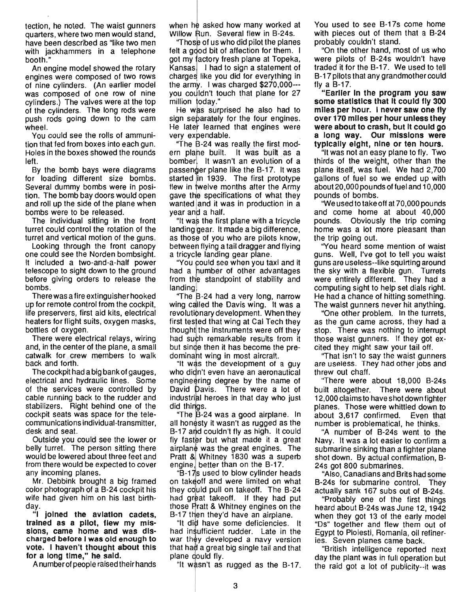tection, he noted. The waist gunners quarters, where two men would stand, have been described as "like two men with jackhammers in a telephone booth."

An engine model showed the rotary engines were composed of two rows of nine cylinders. (An earlier model was composed of one row of nine cylinders .) The valves were at the top of the cylinders. The long rods were push rods going down to the cam wheel.

You could see the rolls of ammunition that fed from boxes into each gun. Holes in the boxes showed the rounds left.

By the bomb bays were diagrams for loading different size bombs. Several dummy bombs were in position. The bomb bay doors would open and roll up the side of the plane when bombs were to be released.

The individual sitting in the front turret could control the rotation of the turret and vertical motion of the guns.

Looking through the front canopy one could see the Norden bombsight. It included a two-and-a-half power telescope to sight down to the ground before giving orders to release the bombs.

There was a fire extinguisher hooked up for remote control from the cockpit, life preservers, first aid kits, electrical heaters for flight suits, oxygen masks, bottles of oxygen.

There were electrical relays, wiring and, in the center of the plane, a small catwalk for crew members to walk back and forth.

The cockpit had a big bank of gauges, electrical and hydraulic lines. Some of the services were controlled by cable running back to the rudder and stabilizers. Right behind one of the cockpit seats was space for the telecommunications individual-transmitter, desk and seat.

Outside you could see the lower or belly turret. The person sitting there would be lowered about three feet and from there would be expected to cover any incoming planes.

Mr. Debbink brought a big framed color photograph of a 8-24 cockpit his wife had given him on his last birthday.

"I joined the aviation cadets, trained as a pilot, flew my missions, came home and was discharged before I was old enough to vote. I haven't thought about this for a long time," he said.

A number of people raised their hands

when he asked how many worked at Willow Run. Several flew in B-24s.

"Those of us who did pilot the planes felt a good bit of affection for them. I got my factory fresh plane at Topeka, Kansas. I had to sign a statement of charges like you did for everything in the army. I was charged  $$270,000-$ you couldn't touch that plane for 27 million today."

He was surprised he also had to sign separately for the four engines. He later learned that engines were very expendable.

"The B-24 was really the first modern plane built. It was built as a bomber. It wasn't an evolution of a passenger plane like the B-17. It was started in 1939. The first prototype flew in twelve months after the Army gave the specifications of what they wanted and it was in production in a year and a half.

"It was the first plane with a tricycle" landing gear. It made a big difference, as those of you who are pilots know. between flying a tail dragger and flying a tricycle landing gear plane.

"You could see when you taxi and it had a number of other advantages from the standpoint of stability and landing

"The B-24 had a very long, narrow wing called the Davis wing. It was a revolutionary development. When they first tested that wing at Cal Tech they thought the instruments were off they had such remarkable results from it but since then it has become the predominant wing in most aircraft.

"It was the development of a guy who didn't even have an aeronautical engine ering degree by the name of David Davis. There were a lot of industrial heroes in that day who just did things.

"The B-24 was a good airplane. In all honesty it wasn't as rugged as the B-17 and couldn't fly as high. It could fly faster but what made it a great airplane was the great engines. The Pratt & Whitney 1830 was a superb engine, better than on the 8-17.

"B-17s used to blow cylinder heads on take off and were limited on what they could pull on takeoff. The B-24 had great takeoff. If they had put those Pratt & Whitney engines on the B-17 then they'd have an airplane.

"It did have some deficiencies. It had in sufficient rudder. Late in the war they developed a navy version that had a great big single tail and that plane could fly.

"It wasn't as rugged as the B-17.

You used to see 8-17s come home with pieces out of them that a 8-24 probably couldn't stand.

"On the other hand, most of us who were pilots of 8-24s wouldn't have traded it for the 8-17. We used to tell 8-17 pilots that any grandmother could fly a  $B-17$ .

"Earlier In the program you saw some statistics that It could fly 300 miles per hour. I never saw one fly over 170 miles per hour unless they were about to crash, but It could go a long way. Our missions were typically eight, nine or ten hours.

"It was not an easy plane to fly. Two thirds of the weight, other than the plane itself, was fuel. We had 2,700 gallons of fuel so we ended up with about 20,000 pounds of fuel and 10,000 pounds of bombs.

"We used to take off at 70,000 pounds and come home at about 40,000 pounds. Obviously the trip coming home was a lot more pleasant than the trip going out.

"You heard some mention of waist guns. Well, I've got to tell you waist guns are useless--Iike squirting around the sky with a flexible gun. Turrets were entirely different. They had a computing sight to help set dials right. He had a chance of hitting something. The waist gunners never hit anything.

"One other problem. In the turrets, as the gun came across, they had a stop. There was nothing to interrupt those waist gunners. If they got excited they might saw your tail off.

''That isn't to say the waist gunners are useless. They had other jobs and threw out chaff.

''There were about 18,000 8-24s built altogether. There were about 12,000 claims to have shot down fighter planes. Those were whittled down to about 3,617 confirmed. Even that number is problematical, he thinks.

"A number of 8-24s went to the Navy. It was a lot easier to confirm a submarine sinking than a fighter plane shot down. By actual confirmation, B-24s got 800 submarines.

"Also, Canadians and 8rits had some 8-24s for submarine control. They actually sank 167 subs out of 8-24s.

"Probably one of the first things heard about 8-24s was June 12, 1942 when they got 13 of the early model "Os" together and flew them out of Egypt to Ploiesti, Romania, oil refineries. Seven planes came back.

"British intelligence reported next day the plant was in full operation but the raid got a lot of publicity--it was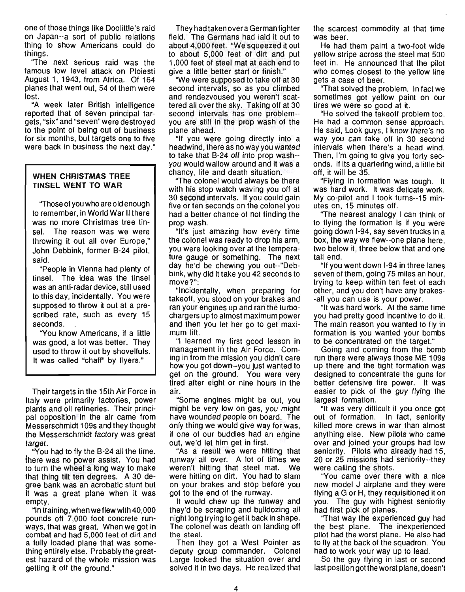one of those things like Doolittle's raid on Japan--a sort of public relations thing to show Americans could do things.

"The next serious raid was the famous low level attack on Ploiesti August 1, 1943, from Africa. Of 164 planes that went out, 54 of them were lost.

"A week later British intelligence reported that of seven principal targets, "six" and "seven" were destroyed to the point of being out of business for six months, but targets one to five were back in business the next day."

#### **WHEN CHRISTMAS TREE TINSEL WENT TO WAR**

"Those of you who are 0 Id enough to remember, in World War II there was no more Christmas tree tinsel. The reason was we were throwing it out all over Europe," John Debbink, former B-24 pilot, said.

"People in Vienna had plenty of tinsel. The idea was the tinsel was an anti-radar device, still used to this day, incidentally. You were supposed to throw it out at a prescribed rate, such as every 15 seconds.

"You know Americans, if a little was good, a lot was better. They used to throw it out by shovelfuls. It was called "chaff" by flyers."

Their targets in the 15th Air Force in Italy were primarily factories, power plants and oil refineries. Their principal opposition in the air came from Messerschmidt 1 09s and they thought the Messerschmidt factory was great target.

"You had to fly the B-24 all the time. there was no power assist. You had to turn the wheel a long way to make that thing tilt ten degrees. A 30 degree bank was an acrobatic stunt but it was a great plane when it was empty.

"In training, whenweflewwith40,OOO pounds off 7,000 foot concrete runways, that was great. When we got in combat and had 5,000 feet of dirt and a fully loaded plane that was something entirely else. Probably the greatest hazard of the whole mission was getting it off the ground."

They had taken over a German fighter field. The Germans had laid it out to about 4,000 feet. "We squeezed it out to about 5,000 feet of dirt and put 1,000 feet of steel mat at each end to give a little better start or finish."

"We were supposed to take off at 30 second intervals, so as you climbed and rendezvoused you weren't scattered all over the sky. Taking off at 30 second intervals has one problem- you are still in the prop wash of the plane ahead.

"If you were going directly into a headwind, there as no way you wanted to take that B-24 off into prop wash- you would wallow around and it was a chancy, life and death situation.

"The colonel would always. be there with his stop watch waving you off at 30 second intervals. If you could gain five or ten seconds on the colonel you had a better chance of not finding the prop wash.

"It's just amazing how every time the colonel was ready to drop his arm, you were looking over at the temperature gauge or something. The next day he'd be chewing you out--"Debbink, why did it take you 42 seconds to move?":

"Incidentally, when preparing for takeoff, you stood on your brakes and ran your engines up and ran the turbochargers up to almost maximum power and then you let her go to get maximum lift.

"I learned my first good lesson in management in the Air Force. Coming in from the mission you didn't care how you got down--you just wanted to get on the ground. You were very tired after eight or nine hours in the air.

"Some engines might be out, you might be very low on gas, you might have wounded people on board. The only thing we would give way for was, if one of our buddies had an engine out, we'd let him get in first.

"As a result we were hitting that runway all over. A lot of times we weren't hitting that steel mat. We were hitting on dirt. You had to slam on your brakes and stop before you got to the end of the runway.

It would chew up the runway and they'd be scraping and bulldozing all night long trying to get it back in shape. The colonel was death on landing off the steel.

Then they got a West Pointer as deputy group commander. Colonel Large looked the situation over and solved it in two days. He realized that the scarcest commodity at that time was beer.

He had them paint a two-foot wide yellow stripe across the steel mat 500 feet in. He announced that the pilot who comes closest to the yellow line gets a case of beer.

"That solved the problem. In fact we sometimes got yellow paint on our tires we were so good at it.

"He solved the takeoff problem too. He had a common sense approach. He said, Look guys, I know there's no way you can take off in 30 second intervals when there's a head wind. Then, I'm going to give you forty seconds. If its a quartering wind, a little bit off, it will be 35.

"Flying in formation was tough. It was hard work. It was delicate work. My co-pilot and I took turns--15 minutes on, 15 minutes off.

"The nearest analogy I can think of to flying the formation is if you were going down 1-94, say seven trucks in a box, the way we flew--one plane here, two below it, three below that and one tail end.

"If you went down 1-94 in three lanes seven of them, going 75 miles an hour, trying to keep within ten feet of each other, and you don't have any brakes- -all you can use is your power.

"It was hard work. At the same time you had pretty good incentive to do it. The main reason you wanted to fly in formation is you wanted your bombs to be concentrated on the target."

Going and coming from the bomb run there were always those ME 109s up there and the tight formation was designed to concentrate the guns for better defensive fire power. It was easier to pick of the guy flying the largest formation.

"It was very difficult if you once got out of formation. In fact, seniority killed more crews in war than almost anything else. New pilots who came over and joined your groups had low seniority. Pilots who already had 15, 20 or 25 missions had seniority--they were calling the shots.

"You came over there with a nice new model J airplane and they were flying a G or H, they requisitioned it on you. The guy with highest seniority had first pick of planes.

"That way the experienced guy had the best plane. The inexperienced pilot had the worst plane. He also had to fly at the back of the squadron. You had to work your way up to lead.

So the guy flying in last or second last position got the worst plane, doesn't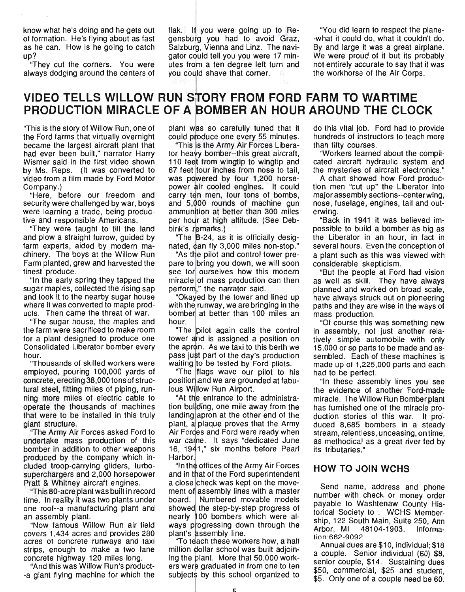know what he's doing and he gets out of formation. He's flying about as fast as he can. How is he going to catch up?

''They cut the corners. You were always dodging around the centers of flak. If you were going up to Regensburg you had to avoid Graz, Salzburg, Vienna and Linz. The navigator could tell you you were 17 minutes from a ten degree left turn and you could shave that corner.

"You did learn to respect the plane- -what it could do, what it couldn't do. By and large it was a great airplane. We were proud of it but its probably not entirely accurate to say that it was the workhorse of the Air Corps.

## **VIDEO TELLS WILLOW RUN SiTORY FROM FORD FARM TO WARTIME**  PRODUCTION MIRACLE OF A BOMBER AN HOUR AROUND THE CLOCK

"This is the story of Willow Run, one of the Ford farms that virtually overnight became the largest aircraft plant that had ever been built," narrator Harry Wismer said in the first video shown by Ms. Reps. (It was converted to video from a film made by Ford Motor Company.)

"Here, before our freedom and security were challenged by war, boys were learning a trade, being productive and responsible Americans.

"They were taught to till the land and plow a straight furrow, guided by farm experts, aided by modern machinery. The boys at the Willow Run Farm planted, grew and harvested the finest produce.

"In the early spring they tapped the sugar maples, collected the rising sap and took it to the nearby sugar house where it was converted to maple products. Then came the threat of war.

''The sugar house, the maples and the farm were sacrificed to make room for a plant designed to produce one Consolidated Liberator bomber every hour.

"Thousands of skilled workers were employed, pouring 100,000 yards of concrete, erecting 38,000 tons of structural steel, fitting miles of piping, running more miles of electric cable to operate the thousands of machines that were to be installed in this truly giant structure.

''The Army Air Forces asked Ford to undertake mass production of this bomber in addition to other weapons produced by the company which included troop-carrying gliders, turbosuperchargers and 2,000 horsepower Pratt & Whitney aircraft engines.

''This 80-acre plant was built in record time. In reality it was two plants under one roof--a manufacturing plant and an assembly plant.

"Now famous Willow Run air field covers 1 ,434 acres and provides 280 acres of concrete runways and taxi strips, enough to make a two lane concrete highway 120 miles long.

"And this was Willow Run's product- -a giant flying machine for which the plant was so carefully tuned that it could produce one every 55 minutes.

"This is the Army Air Forces Liberator heayy bomber--this great aircraft, 110 feet from wingtip to wingtip and 67 feet four inches from nose to tail, was powered by four 1,200 horsepower air cooled engines. It could carry ten men, four tons of bombs, and 5,000 rounds of machine gun ammunition at better than 300 miles per hour at high altitude. (See Debbink's remarks.)

"The B-24, as it is officially designated, can fly 3,000 miles non-stop."

"As the pilot and control tower prepare to bring you down, we will soon see for ourselves how this modern miracle of mass production can then perform," the narrator said.

"Okayed by the tower and lined up with the runway, we are bringing in the bomber at better than 100 miles an hour.

"The pilot again calls the control tower and is assigned a position on the apron. As we taxi to this berth we pass just part of the day's production waiting to be tested by Ford pilots.

''The flags wave our pilot to his position and we are grounded at fabulous Willow Run Airport.

"At the entrance to the administration building, one mile away from the landing apron at the other end of the plant, a plaque proves that the Army Air Fordes and Ford were ready when war came. It says "dedicated June 16, 1941," six months before Pearl Harbor.

"In the offices of the Army Air Forces" and in that of the Ford superintendent a close check was kept on the movement of assembly lines with a master board. Numbered movable models showed the step-by-step progress of nearly 100 bombers which were always progressing down through the plant's assembly line.

To teach these workers how, a half million dollar school was built adjoining the plant. More that  $50,000$  workers were graduated in from one to ten subjects by this school organized to do this vital job. Ford had to provide hundreds of instructors to teach more than fifty courses.

"Workers learned about the complicated aircraft hydraulic system and the mysteries of aircraft electronics."

A chart showed how Ford production men "cut up" the Liberator into major assembly sections--center wing, nose, fuselage, engines, tail and outerwing.

"Back in 1941 it was believed impossible to build a bomber as big as the Liberator in an hour, in fact in several hours. Even the conception of a plant such as this was viewed with considerable skepticism.

"But the people at Ford had vision as well as skill. They have always planned and worked on broad scale, have always struck out on pioneering paths and they are wise in the ways of mass production.

"Of course this was something new in assembly, not just another relatively simple automobile with only 15,000 or so parts to be made and assembled. Each of these machines is made up of 1,225,000 parts and each had to be perfect.

"In these assembly lines you see the evidence of another Ford-made miracle. The Willow Run Bomber plant has furnished one of the miracle production stories of this war. It pro' duced 8,685 bombers in a steady stream, relentless, unceasing, on time, as methodical as a great river fed by its tributaries."

#### **HOW TO JOIN WCHS**

Send name, address and phone number with check or money order payable to Washtenaw County Historical Society to: WCHS Membership, 122 South Main, Suite 250, Ann Arbor, MI 48104-1903. Information :662-9092.

Annual dues are \$10, individual; \$18 a couple. Senior individual (60) \$8, senior couple, \$14. Sustaining dues \$50, commercial, \$25 and student, \$5. Only one of a couple need be 60.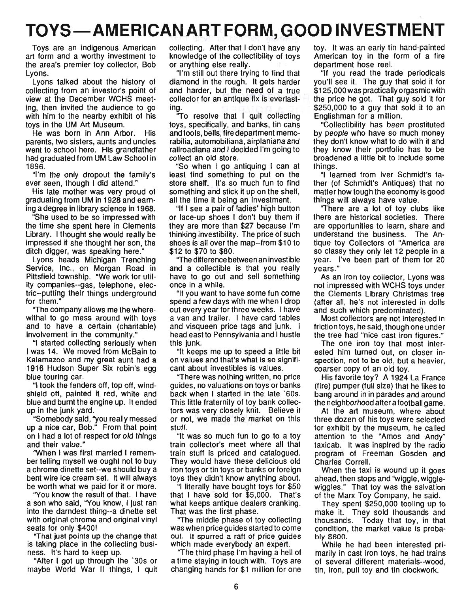## **TOYS - AMERICAN ART FORM, GOOD INVESTMENT**

Toys are an indigenous American art form and a worthy investment to the area's premier toy collector, Bob Lyons.

Lyons talked about the history of collecting from an investor's point of view at the December WCHS meeting, then invited the audience to go with him to the nearby exhibit of his toys in the UM Art Museum.

He was born in Ann Arbor. His parents, two sisters, aunts and uncles went to school here. His grandfather had graduated from UM Law School in 1896.

"I'm the only dropout the family's ever seen, though I did attend."

His late mother was very proud of graduating from UM in 1928 and earning a degree in library science in 1968.

"She used to be so impressed with the time she spent here in Clements Library. I thought she would really be impressed if she thought her son, the ditch digger, was speaking here."

Lyons heads Michigan Trenching Service, Inc., on Morgan Road in Pittsfield township. "We work for utility companies--gas, telephone, electric--putting their things underground for them."

''The company allows me the wherewithal to go mess around with toys and to have a certain (charitable) involvement in the community."

"I started collecting seriously when I was 14. We moved from McBain to Kalamazoo and my great aunt had a 1916 Hudson Super Six robin's egg blue touring car.

"I took the fenders off, top off, windshield off, painted it red, white and blue and burnt the engine up. It ended up in the junk yard.

"Somebody said, "you really messed up a nice car, Bob." From that point on I had a lot of respect for old things and their value."

'When I was first married I remember telling myself we ought not to buy a chrome dinette set--we should buy a bent wire ice cream set. It will always be worth what we paid for it or more.

''You know the result of that. I have a son who said, "You know, I just ran into the darndest thing--a dinette set with original chrome and original vinyl seats for only \$400!

"That just points up the change that is taking place in the collecting business. It's hard to keep up.

"After I got up through the '30s or maybe World War II things, I quit collecting. After that I don't have any knowledge of the collectibility of toys or anything else really.

"I'm still out there trying to find that diamond in the rough. It gets harder and harder, but the need of a true collector for an antique fix is everlasting.

''To resolve that I quit collecting toys, specifically, and banks, tin cans and tools, bells, fire department memorabilia, automobiliana, airplaniana and railroadiana and I decided I'm going to collect an old store.

"So when I go antiquing I can at least find something to put on the store shelf. It's so much fun to find something and stick it up on the shelf, all the time it being an investment.

"If I see a pair of ladies' high button or lace-up shoes I don't buy them if they are more than \$27 because I'm thinking investibility. The price of such shoes is all over the map--from \$10 to \$12 to \$70 to \$80.

"The difference between an investible and a collectible is that you really have to go out and sell something once in a while.

"If you want to have some fun come spend a few days with me when I drop out every year for three weeks. I have a van and trailer. I have card tables and visqueen price tags and junk. I head east to Pennsylvania and I hustle this junk.

"It keeps me up to speed a little bit on values and that's what is so significant about investibles is values.

"There was nothing written, no price guides, no valuations on toys or banks back when I started in the late '60s. This little fraternity of toy bank collectors was very closely knit. Believe it or not, we made the market on this stuff.

"It was so much fun to go to a toy train collector's meet where all that train stuff is priced and catalogued. They would have these delicious old iron toys or tin toys or banks or foreign toys they didn't know anything about.

"I literally have bought toys for \$50 that I have sold for \$5,000. That's what keeps antique dealers cranking. That was the first phase.

''The middle phase of toy collecting was when price guides started to come out. It spurred a raft of price guides which made everybody an expert.

''The third phase I'm having a hell of a time staying in touch with. Toys are changing hands for \$1 million for one toy. It was an early tin hand-painted American toy in the form of a fire department hose reel.

"If you read the trade periodicals you'll see it. The guy that sold it for \$125,000 was practically orgasmic with the price he got. That guy sold it for \$250,000 to a guy that sold it to an Englishman for a million.

"Collectibility has been prostituted by people who have so much money they don't know what to do with it and they know their portfolio has to be broadened a little bit to include some things.

"I learned from Iver Schmidt's father (of Schmidt's Antiques) that no matter how tough the economy is good things will always have value.

''There are a lot of toy clubs like there are historical societies. There are opportunities to learn, share and understand the business. The Antique toy Collectors of "America are so classy they only let 12 people in a year. I've been part of them for 20 years."

As an iron toy collector, Lyons was not impressed with WCHS toys under the Clements Library Christmas tree (after all, he's not interested in dolls and such which predominated).

Most collectors are not interested in friction toys, he said, though one under the tree had "nice cast iron figures."

The one iron toy that most interested him turned out, on closer inspection, not to be old, but a heavier, coarser copy of an old toy.

His favorite toy? A 1924 La France (fire) pumper (full size) that he likes to bang around in in parades and around the neighborhood after a football game.

At the art museum, where about three dozen of his toys were selected for exhibit by the museum, he called attention to the "Amos and Andy" taxicab. It was inspired by the radio program of Freeman Gosden and Charles Correll.

When the taxi is wound up it goes ahead, then stops and ''wiggle, wigglewiggles." That toy was the salvation of the Marx Toy Company, he said.

They spent \$250,000 tooling up to make it. They sold thousands and thousands. Today that toy, in that condition, the market value is probably \$600.

While he had been interested primarily in cast iron toys, he had trains of several different materials--wood, tin, iron, pull toy and tin clockwork.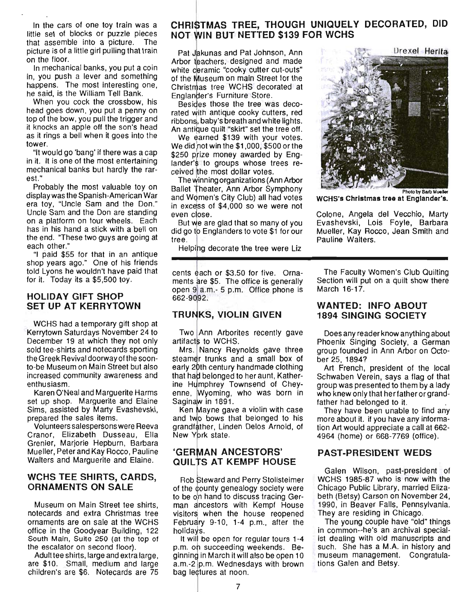In the cars of one toy train was a little set of blocks or puzzle pieces that assemble into a picture. The picture is of a little girl pulling that train on the floor.

In mechanical banks, you put a coin in, you push a lever and something happens. The most interesting one, he said, is the William Tell Bank.

When you cock the crossbow, his head goes down, you put a penny on top of the bow, you pull the trigger and it knocks an apple off the son's head as it rings a bell when it goes into the tower.

"It would go 'bang' if there was a cap in it. It is one of the most entertaining mechanical banks but hardly the rarest."

Probably the most valuable toy on display was the Spanish-American War era toy, "Uncle Sam and the Don." Uncle Sam and the Don are standing on a platform on four wheels. Each has in his hand a stick with a bell on the end. "These two guys are going at each other."

"I paid \$55 for that in an antique shop years ago." One of his friends told Lyons he wouldn't have paid that for it. Today its a \$5,500 toy.

#### HOLIDAY GIFT SHOP SET UP AT KERRYTOWN

WCHS had a temporary gift shop at Kerrytown Saturdays November 24 to December 19 at which they not only sold tee-shirts and notecards sporting the Greek Revival doorway of the soonto-be Museum on Main Street but also increased community awareness and enthusiasm.

Karen O'Neal and Marguerite Harms set up shop. Marguerite and Elaine Sims, assisted by Marty Evashevski, prepared the sales items.

Volunteers salespersons were Reeva Cranor, Elizabeth Dusseau, Ella Grenier, Marjorie Hepburn, Barbara Mueller, Peter and Kay Rocco, Pauline Walters and Marguerite and Elaine.

#### WCHS TEE SHIRTS, CARDS, ORNAMENTS ON SALE

Museum on Main Street tee shirts, notecards and extra Christmas tree ornaments are on sale at the WCHS office in the Goodyear Building, 122 South Main, Suite 250 (at the top of the escalator on second floor).

Adult tee shirts, large and extra large, are \$10. Small, medium and large children's are \$6. Notecards are 75

## CHRISTMAS TREE, THOUGH UNIQUELY DECORATED, DID NOT WIN BUT NETTED \$139 FOR WCHS

Pat Jakunas and Pat Johnson, Ann Arbor teachers, designed and made white ceramic "cooky cutter cut-outs" of the Museum on main Street for the Christmas tree WCHS decorated at Englander's Furniture Store.

Besides those the tree was decorated with antique cooky cutters, red ribbons, baby's breath and white lights. An antique quilt "skirt" set the tree off.

We earned \$139 with your votes. We did not win the  $$1,000, $500$  or the \$250 prize money awarded by Englander's to groups whose trees received the most dollar votes.

The winning organizations (Ann Arbor Ballet Theater, Ann Arbor Symphony<br>and Women's City Club) all had votes in excess of \$4,000 so we were not even close.

But we are glad that so many of you did go to Englanders to vote \$1 for our tree.

Helping decorate the tree were Liz

cents each or \$3.50 for five. Ornaments are \$5. The office is generally open 9 a.m.- 5 p.m. Office phone is 662-9092.

## **TRUNKS, VIOLIN GIVEN**

Two Ann Arborites recently gave artifacts to WCHS.

Mrs. Nancy Reynolds gave three steamer trunks and a small box of early 20th century handmade clothing that had belonged to her aunt, Katherine Humphrey Townsend of Cheyenne, Wyoming, who was born in Saginaw in 1891.

Ken Mayne gave a violin with case and two bows that belonged to his grandfather, Linden Delos Arnold, of New York state.

## 'GERMAN ANCESTORS' **QUILTS AT KEMPF HOUSE**

Rob Steward and Perry Stollsteimer of the county genealogy society were to be on hand to discuss tracing German ancestors with Kempf House visitors when the house reopened February 9-10, 1-4 p.m., after the holidavs.

It will be open for regular tours 1-4 p.m. on succeeding weekends. Beginning in March it will also be open 10 a.m.-2 p.m. Wednesdays with brown bag lectures at noon.



W CHS's Christmas tree at Englander's.

Colone, Angela del Vecchio, Marty Evashevski, Lois Foyle, Barbara Mueller, Kay Rocco, Jean Smith and Pauline Walters.

The Faculty Women's Club Quilting Section will put on a quilt show there March 16-17.

## WANTED: INFO ABOUT 1894 SINGING SOCIETY

Does any reader know anything about Phoenix Singing Society, a German group founded in Ann Arbor on October 25, 1894?

Art French, president of the local Schwaben Verein, says a flag of that group was presented to them by a lady who knew only that her father or grandfather had belonged to it.

They have been unable to find any more about it. if you have any information Art would appreciate a call at 662- 4964 (home) or 668-7769 (office).

## PAST-PRESIDENT WEDS

Galen Wilson, past-president of WCHS 1985-87 who is now with the Chicago Public Library, married Elizabeth (Betsy) Carson on November 24, 1990, in Beaver Falls, Pennsylvania. They are residing in Chicago.

The young couple have "old" things in common--he's an archival specialist dealing with old manuscripts and such. She has a M.A. in history and museum management. Congratulations Galen and Betsy.